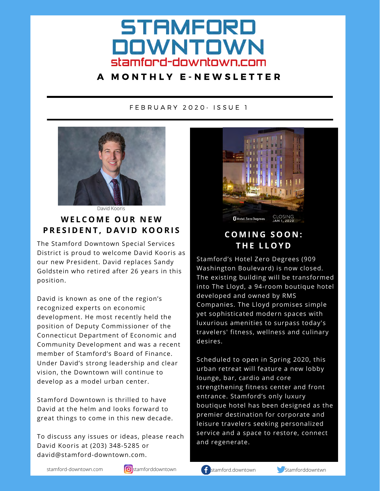# **STAMFORD DOWNTOWN** stamford-downtown.com

### <sup>A</sup> M O N T H L Y <sup>E</sup> - N E W S L E T T E R

#### F E B R U A R Y 2 0 2 0 • I S S U E <sup>1</sup>



David Kooris

## **W E L C O M E O U R N E W PRESIDENT, DAVID KOORIS**

The Stamford Downtown Special Services District is proud to welcome David Kooris as our new President. David replaces Sandy Goldstein who retired after 26 years in this position.

David is known as one of the region's recognized experts on economic development. He most recently held the position of Deputy Commissioner of the Connecticut Department of Economic and Community Development and was a recent member of Stamford's Board of Finance. Under David's strong leadership and clear vision, the Downtown will continue to develop as a model urban center.

Stamford Downtown is thrilled to have David at the helm and looks forward to great things to come in this new decade.

To discuss any issues or ideas, please reach David Kooris at (203) 348-5285 or david@stamford-downtown.com.



# **C O M I N G S O O N : T H E L L O Y D**

Stamford's Hotel Zero Degrees (909 Washington Boulevard) is now closed. The existing building will be transformed into The Lloyd, a 94-room boutique hotel developed and owned by RMS Companies. The Lloyd promises simple yet sophisticated modern spaces with luxurious amenities to surpass today's travelers' fitness, wellness and culinary desires.

Scheduled to open in Spring 2020, this urban retreat will feature a new lobby lounge, bar, cardio and core strengthening fitness center and front entrance. Stamford's only luxury boutique hotel has been designed as the premier destination for corporate and leisure travelers seeking personalized service and a space to restore, connect and regenerate.

stamford-downtown.com **stamforddowntown stamford.downtown Stamforddowntown** Stamforddowntwn